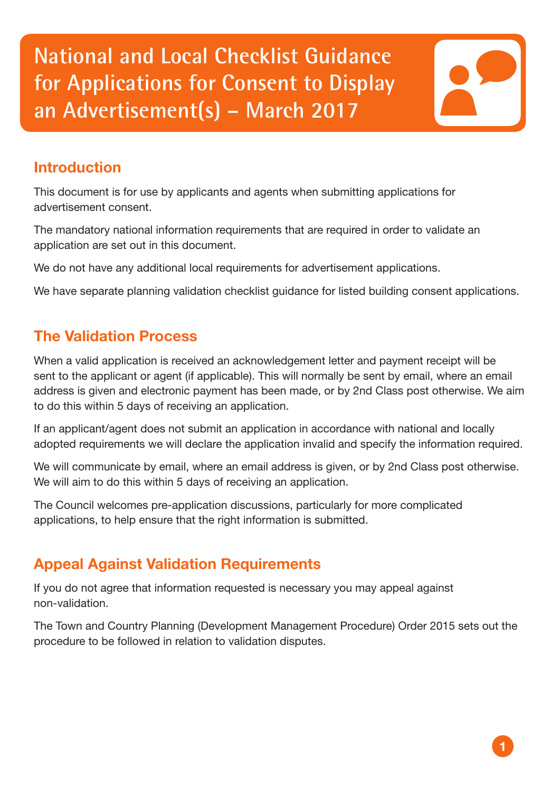**National and Local Checklist Guidance for Applications for Consent to Display an Advertisement(s) – March 2017**

## **Introduction**

This document is for use by applicants and agents when submitting applications for advertisement consent.

The mandatory national information requirements that are required in order to validate an application are set out in this document.

We do not have any additional local requirements for advertisement applications.

We have separate planning validation checklist guidance for listed building consent applications.

# **The Validation Process**

When a valid application is received an acknowledgement letter and payment receipt will be sent to the applicant or agent (if applicable). This will normally be sent by email, where an email address is given and electronic payment has been made, or by 2nd Class post otherwise. We aim to do this within 5 days of receiving an application.

If an applicant/agent does not submit an application in accordance with national and locally adopted requirements we will declare the application invalid and specify the information required.

We will communicate by email, where an email address is given, or by 2nd Class post otherwise. We will aim to do this within 5 days of receiving an application.

The Council welcomes pre-application discussions, particularly for more complicated applications, to help ensure that the right information is submitted.

# **Appeal Against Validation Requirements**

If you do not agree that information requested is necessary you may appeal against non-validation.

The Town and Country Planning (Development Management Procedure) Order 2015 sets out the procedure to be followed in relation to validation disputes.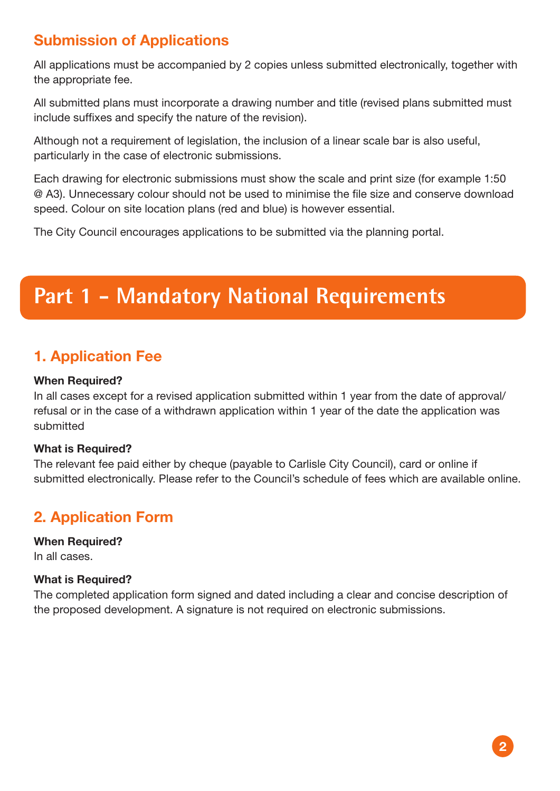# **Submission of Applications**

All applications must be accompanied by 2 copies unless submitted electronically, together with the appropriate fee.

All submitted plans must incorporate a drawing number and title (revised plans submitted must include suffixes and specify the nature of the revision).

Although not a requirement of legislation, the inclusion of a linear scale bar is also useful. particularly in the case of electronic submissions.

Each drawing for electronic submissions must show the scale and print size (for example 1:50 @ A3). Unnecessary colour should not be used to minimise the file size and conserve download speed. Colour on site location plans (red and blue) is however essential.

The City Council encourages applications to be submitted via the planning portal.

# **Part 1 - Mandatory National Requirements**

### **1. Application Fee**

#### **When Required?**

In all cases except for a revised application submitted within 1 year from the date of approval/ refusal or in the case of a withdrawn application within 1 year of the date the application was submitted

### **What is Required?**

The relevant fee paid either by cheque (payable to Carlisle City Council), card or online if submitted electronically. Please refer to the Council's schedule of fees which are available online.

### **2. Application Form**

**When Required?** In all cases.

### **What is Required?**

The completed application form signed and dated including a clear and concise description of the proposed development. A signature is not required on electronic submissions.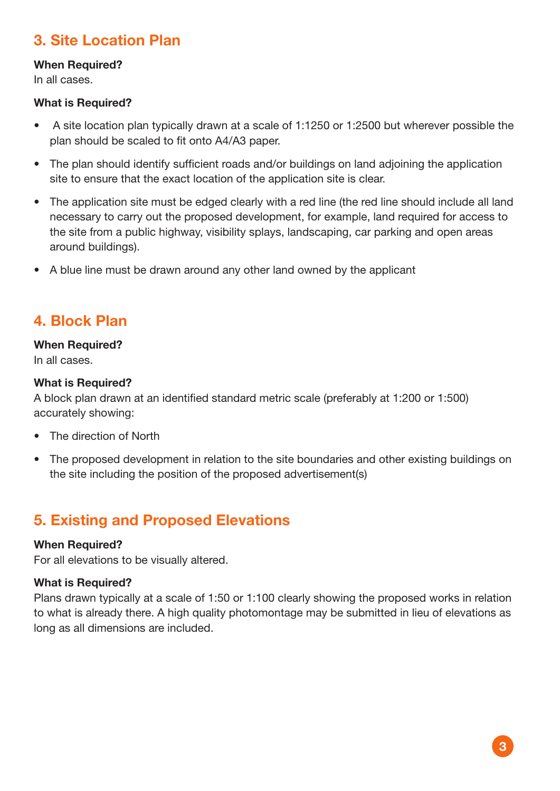# **3. Site Location Plan**

### **When Required?**

In all cases.

#### **What is Required?**

- A site location plan typically drawn at a scale of 1:1250 or 1:2500 but wherever possible the plan should be scaled to fit onto A4/A3 paper.
- The plan should identify sufficient roads and/or buildings on land adjoining the application site to ensure that the exact location of the application site is clear.
- The application site must be edged clearly with a red line (the red line should include all land necessary to carry out the proposed development, for example, land required for access to the site from a public highway, visibility splays, landscaping, car parking and open areas around buildings).
- A blue line must be drawn around any other land owned by the applicant

### **4. Block Plan**

#### **When Required?**

In all cases.

#### **What is Required?**

A block plan drawn at an identified standard metric scale (preferably at 1:200 or 1:500) accurately showing:

- The direction of North
- The proposed development in relation to the site boundaries and other existing buildings on the site including the position of the proposed advertisement(s)

### **5. Existing and Proposed Elevations**

### **When Required?**

For all elevations to be visually altered.

### **What is Required?**

Plans drawn typically at a scale of 1:50 or 1:100 clearly showing the proposed works in relation to what is already there. A high quality photomontage may be submitted in lieu of elevations as long as all dimensions are included.